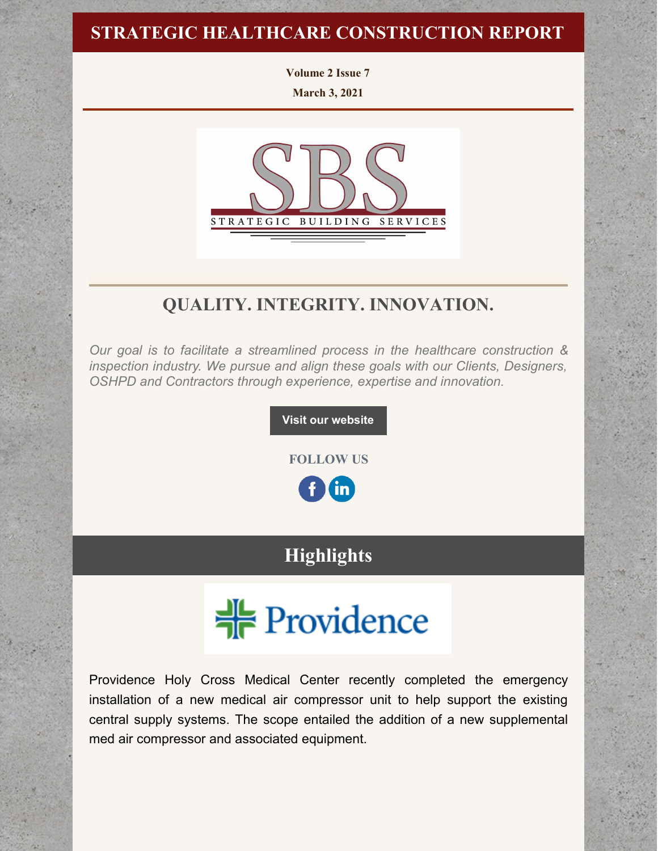## **STRATEGIC HEALTHCARE CONSTRUCTION REPORT**

**Volume 2 Issue 7 March 3, 2021**



# **QUALITY. INTEGRITY. INNOVATION.**

*Our goal is to facilitate a streamlined process in the healthcare construction & inspection industry. We pursue and align these goals with our Clients, Designers, OSHPD and Contractors through experience, expertise and innovation.*

**Visit our [website](http://www.strategic-building.com/)**

**FOLLOW US**

in.

# **Highlights**



Providence Holy Cross Medical Center recently completed the emergency installation of a new medical air compressor unit to help support the existing central supply systems. The scope entailed the addition of a new supplemental med air compressor and associated equipment.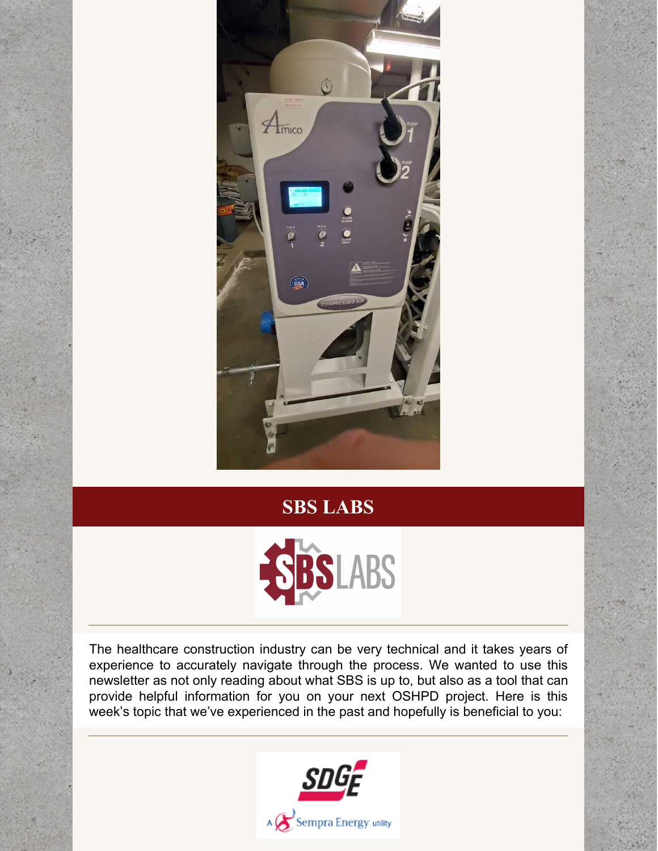

# **SBS LABS**



The healthcare construction industry can be very technical and it takes years of experience to accurately navigate through the process. We wanted to use this newsletter as not only reading about what SBS is up to, but also as a tool that can provide helpful information for you on your next OSHPD project. Here is this week's topic that we've experienced in the past and hopefully is beneficial to you:

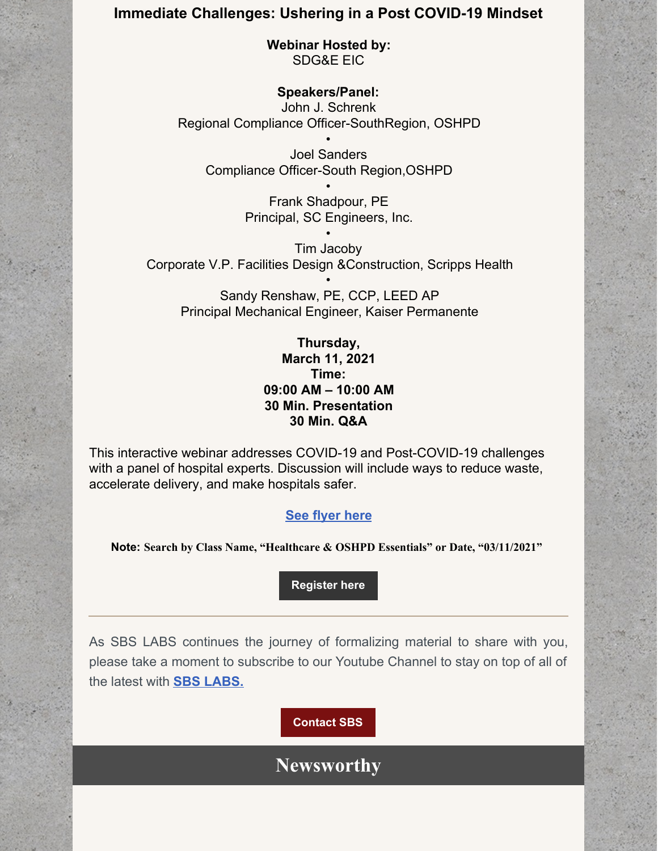#### **Immediate Challenges: Ushering in a Post COVID-19 Mindset**

**Webinar Hosted by:** SDG&E EIC

**Speakers/Panel:** John J. Schrenk Regional Compliance Officer-SouthRegion, OSHPD

Joel Sanders Compliance Officer-South Region,OSHPD

•

Frank Shadpour, PE Principal, SC Engineers, Inc.

•

Tim Jacoby Corporate V.P. Facilities Design &Construction, Scripps Health

•

•

Sandy Renshaw, PE, CCP, LEED AP Principal Mechanical Engineer, Kaiser Permanente

> **Thursday, March 11, 2021 Time: 09:00 AM – 10:00 AM 30 Min. Presentation 30 Min. Q&A**

This interactive webinar addresses COVID-19 and Post-COVID-19 challenges with a panel of hospital experts. Discussion will include ways to reduce waste, accelerate delivery, and make hospitals safer.

#### **See [flyer](https://files.constantcontact.com/7250dab0801/6195cc9f-a1ea-44c0-9468-a00bb8d35033.pdf) here**

**Note: Search by Class Name, "Healthcare & OSHPD Essentials" or Date, "03/11/2021"**

**[Register](https://seminars.sdge.com/prod/emc00/EventSearch.htm?mid=2) here**

As SBS LABS continues the journey of formalizing material to share with you, please take a moment to subscribe to our Youtube Channel to stay on top of all of the latest with **SBS [LABS.](https://www.youtube.com/channel/UCfR7qiqf9X9tzNf1jD-an_Q)**

**[Contact](http://www.strategic-building.com/contacts) SBS**

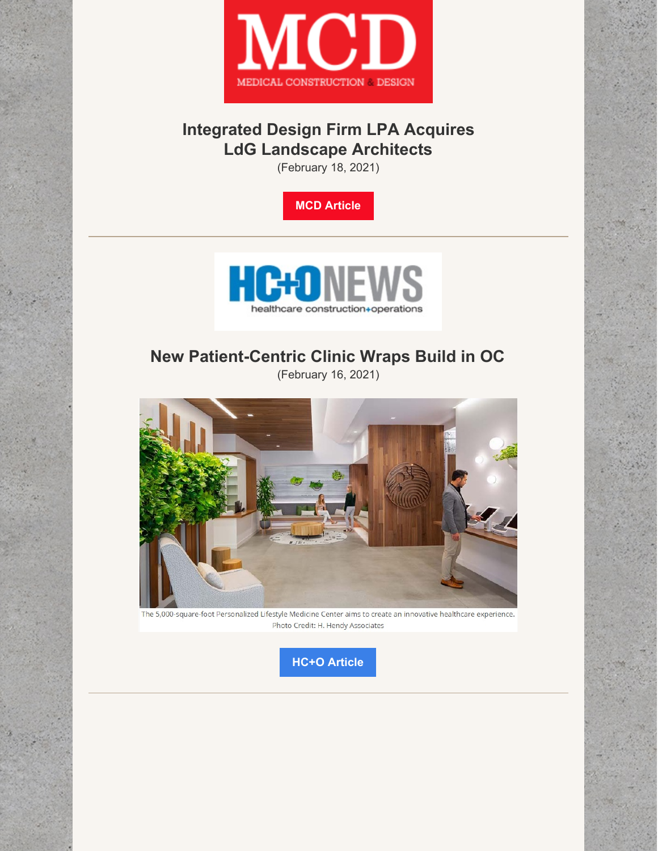

# **Integrated Design Firm LPA Acquires LdG Landscape Architects**

(February 18, 2021)





## **New Patient-Centric Clinic Wraps Build in OC** (February 16, 2021)



The 5,000-square-foot Personalized Lifestyle Medicine Center aims to create an innovative healthcare experience. Photo Credit: H. Hendy Associates

**HC+O [Article](http://hconews.com/2021/02/16/new-patient-centric-clinic-wraps-build-in-oc/)**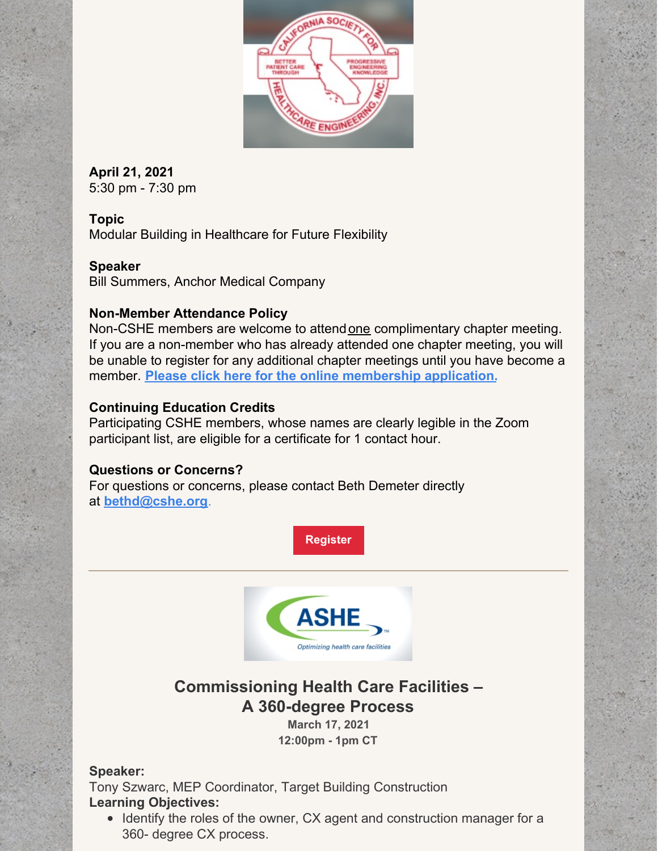

## **April 21, 2021** 5:30 pm - 7:30 pm

#### **Topic**

Modular Building in Healthcare for Future Flexibility

#### **Speaker**

Bill Summers, Anchor Medical Company

### **Non-Member Attendance Policy**

Non-CSHE members are welcome to attend one complimentary chapter meeting. If you are a non-member who has already attended one chapter meeting, you will be unable to register for any additional chapter meetings until you have become a member. **Please click here for the online [membership](http://www.cshe.org/CSHEMEMBER/Membership/BecomeMember/CSHEMEMBER/Online-Join/Membership-Landing.aspx?hkey=08a11e97-0ce8-4135-bc0e-5a7211cb24b5) application.**

### **Continuing Education Credits**

Participating CSHE members, whose names are clearly legible in the Zoom participant list, are eligible for a certificate for 1 contact hour.

### **Questions or Concerns?**

For questions or concerns, please contact Beth Demeter directly at **[bethd@cshe.org](mailto:bethd@cshe.org)**.





# **Commissioning Health Care Facilities – A 360-degree Process**

**March 17, 2021 12:00pm - 1pm CT**

## **Speaker:**

Tony Szwarc, MEP Coordinator, Target Building Construction **Learning Objectives:**

• Identify the roles of the owner, CX agent and construction manager for a 360- degree CX process.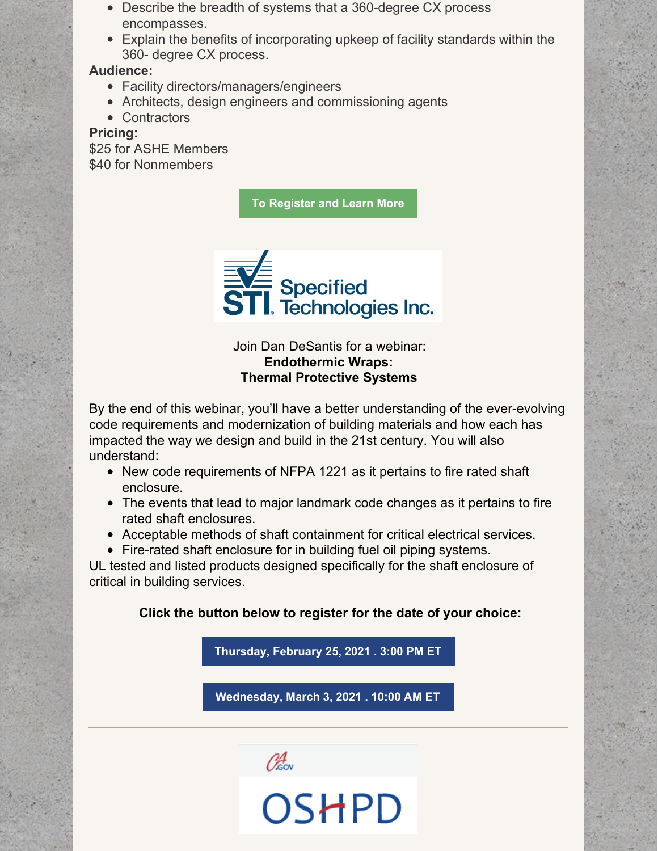- Describe the breadth of systems that a 360-degree CX process encompasses.
- Explain the benefits of incorporating upkeep of facility standards within the 360- degree CX process.

#### **Audience:**

- Facility directors/managers/engineers
- Architects, design engineers and commissioning agents
- Contractors

#### **Pricing:**

\$25 for ASHE Members \$40 for Nonmembers

**To [Register](https://ams.aha.org/eweb/?ahabu=ASHE&webcode=eventinfo&Reg_evt_key=58310C9A-D920-4A3E-870E-65E5FFC2A6E0) and Learn More**



Join Dan DeSantis for a webinar: **Endothermic Wraps: Thermal Protective Systems**

By the end of this webinar, you'll have a better understanding of the ever-evolving code requirements and modernization of building materials and how each has impacted the way we design and build in the 21st century. You will also understand:

- New code requirements of NFPA 1221 as it pertains to fire rated shaft enclosure.
- The events that lead to major landmark code changes as it pertains to fire rated shaft enclosures.
- Acceptable methods of shaft containment for critical electrical services.
- Fire-rated shaft enclosure for in building fuel oil piping systems.

UL tested and listed products designed specifically for the shaft enclosure of critical in building services.

**Click the button below to register for the date of your choice:**

**[Thursday,](https://stifirestop.zoom.us/webinar/register/WN_eew9fBg9SZWeyoK5cu4fgg?mc_cid=2d57cbe053&mc_eid=e432ccbfe6) February 25, 2021 . 3:00 PM ET**

**[Wednesday,](https://stifirestop.zoom.us/webinar/register/WN_0wD4mfUGSFGyWkQkPz3Uew?mc_cid=2d57cbe053&mc_eid=e432ccbfe6) March 3, 2021 . 10:00 AM ET**

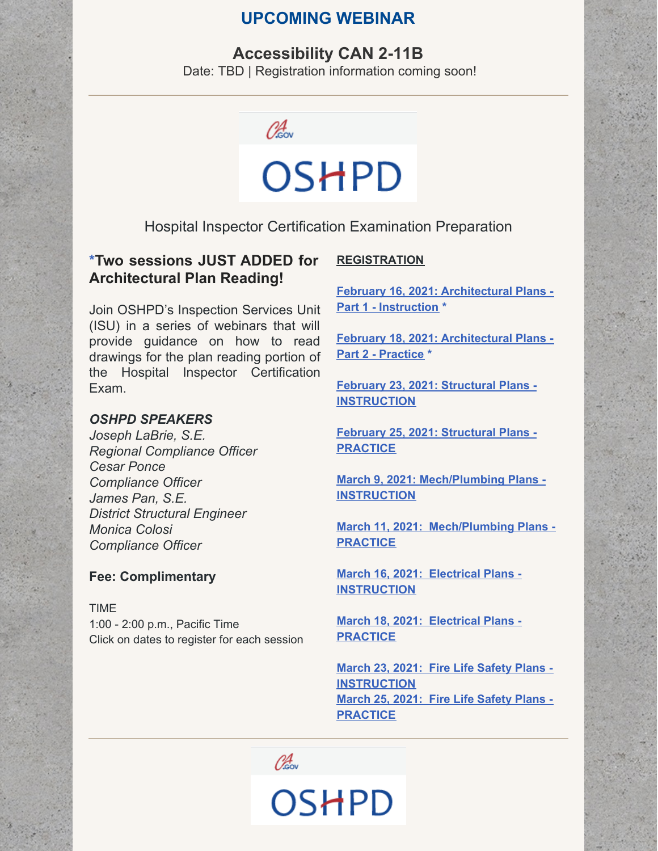## **UPCOMING WEBINAR**

## **Accessibility CAN 2-11B**

Date: TBD | Registration information coming soon!



Hospital Inspector Certification Examination Preparation

### **\*Two sessions JUST ADDED for Architectural Plan Reading!**

Join OSHPD's Inspection Services Unit (ISU) in a series of webinars that will provide guidance on how to read drawings for the plan reading portion of the Hospital Inspector Certification Exam.

#### *OSHPD SPEAKERS*

*Joseph LaBrie, S.E. Regional Compliance Officer Cesar Ponce Compliance Officer James Pan, S.E. District Structural Engineer Monica Colosi Compliance Officer*

#### **Fee: Complimentary**

TIME 1:00 - 2:00 p.m., Pacific Time Click on dates to register for each session

#### **REGISTRATION**

**[February](https://oshpd.us3.list-manage.com/track/click?u=b5eac4ceeea1d878cfffc1696&id=5f17665187&e=bf3938caab) 16, 2021: Architectural Plans - Part 1 - Instruction \***

**[February](https://oshpd.us3.list-manage.com/track/click?u=b5eac4ceeea1d878cfffc1696&id=0955b8ca65&e=bf3938caab) 18, 2021: Architectural Plans - Part 2 - Practice \***

**February 23, 2021: Structural Plans - [INSTRUCTION](https://oshpd.us3.list-manage.com/track/click?u=b5eac4ceeea1d878cfffc1696&id=f4d49de2e3&e=bf3938caab)**

**February 25, 2021: [Structural](https://oshpd.us3.list-manage.com/track/click?u=b5eac4ceeea1d878cfffc1696&id=c2ba004f16&e=bf3938caab) Plans - PRACTICE**

**March 9, 2021: [Mech/Plumbing](https://oshpd.us3.list-manage.com/track/click?u=b5eac4ceeea1d878cfffc1696&id=e6038ca4c8&e=bf3938caab) Plans - INSTRUCTION**

**March 11, 2021: [Mech/Plumbing](https://oshpd.us3.list-manage.com/track/click?u=b5eac4ceeea1d878cfffc1696&id=3a16cb720a&e=bf3938caab) Plans - PRACTICE**

**March 16, 2021: Electrical Plans - [INSTRUCTION](https://oshpd.us3.list-manage.com/track/click?u=b5eac4ceeea1d878cfffc1696&id=4836f822b5&e=bf3938caab)**

**March 18, 2021: Electrical Plans - [PRACTICE](https://oshpd.us3.list-manage.com/track/click?u=b5eac4ceeea1d878cfffc1696&id=f4fb793777&e=bf3938caab)**

**March 23, 2021: Fire Life Safety Plans - [INSTRUCTION](https://oshpd.us3.list-manage.com/track/click?u=b5eac4ceeea1d878cfffc1696&id=40680dffc1&e=bf3938caab) March 25, 2021: Fire Life Safety Plans - [PRACTICE](https://oshpd.us3.list-manage.com/track/click?u=b5eac4ceeea1d878cfffc1696&id=032256ecdc&e=bf3938caab)**

 $\mathcal{O}_{\scriptscriptstyle \!\mathsf{G}\scriptscriptstyle{\mathrm{ov}}}^{\scriptscriptstyle \mathsf{A}}$ 

**OSHPD**